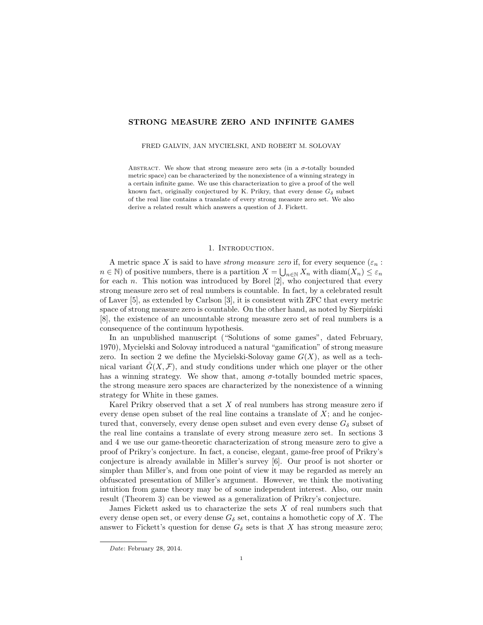# STRONG MEASURE ZERO AND INFINITE GAMES

FRED GALVIN, JAN MYCIELSKI, AND ROBERT M. SOLOVAY

ABSTRACT. We show that strong measure zero sets (in a  $\sigma$ -totally bounded metric space) can be characterized by the nonexistence of a winning strategy in a certain infinite game. We use this characterization to give a proof of the well known fact, originally conjectured by K. Prikry, that every dense  $G_{\delta}$  subset of the real line contains a translate of every strong measure zero set. We also derive a related result which answers a question of J. Fickett.

#### 1. Introduction.

A metric space X is said to have *strong measure zero* if, for every sequence  $(\varepsilon_n :$  $n \in \mathbb{N}$ ) of positive numbers, there is a partition  $X = \bigcup_{n \in \mathbb{N}} X_n$  with  $\text{diam}(X_n) \leq \varepsilon_n$ for each n. This notion was introduced by Borel  $[2]$ , who conjectured that every strong measure zero set of real numbers is countable. In fact, by a celebrated result of Laver [5], as extended by Carlson [3], it is consistent with ZFC that every metric space of strong measure zero is countable. On the other hand, as noted by Sierpinski [8], the existence of an uncountable strong measure zero set of real numbers is a consequence of the continuum hypothesis.

In an unpublished manuscript ("Solutions of some games", dated February, 1970), Mycielski and Solovay introduced a natural "gamification" of strong measure zero. In section 2 we define the Mycielski-Solovay game  $G(X)$ , as well as a technical variant  $\hat{G}(X,\mathcal{F})$ , and study conditions under which one player or the other has a winning strategy. We show that, among  $\sigma$ -totally bounded metric spaces, the strong measure zero spaces are characterized by the nonexistence of a winning strategy for White in these games.

Karel Prikry observed that a set  $X$  of real numbers has strong measure zero if every dense open subset of the real line contains a translate of  $X$ ; and he conjectured that, conversely, every dense open subset and even every dense  $G_{\delta}$  subset of the real line contains a translate of every strong measure zero set. In sections 3 and 4 we use our game-theoretic characterization of strong measure zero to give a proof of Prikry's conjecture. In fact, a concise, elegant, game-free proof of Prikry's conjecture is already available in Miller's survey [6]. Our proof is not shorter or simpler than Miller's, and from one point of view it may be regarded as merely an obfuscated presentation of Miller's argument. However, we think the motivating intuition from game theory may be of some independent interest. Also, our main result (Theorem 3) can be viewed as a generalization of Prikry's conjecture.

James Fickett asked us to characterize the sets  $X$  of real numbers such that every dense open set, or every dense  $G_{\delta}$  set, contains a homothetic copy of X. The answer to Fickett's question for dense  $G_{\delta}$  sets is that X has strong measure zero;

Date: February 28, 2014.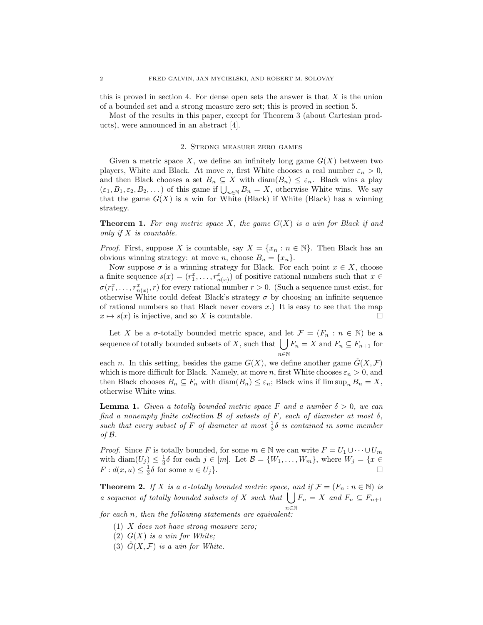this is proved in section 4. For dense open sets the answer is that  $X$  is the union of a bounded set and a strong measure zero set; this is proved in section 5.

Most of the results in this paper, except for Theorem 3 (about Cartesian products), were announced in an abstract [4].

# 2. Strong measure zero games

Given a metric space X, we define an infinitely long game  $G(X)$  between two players, White and Black. At move n, first White chooses a real number  $\varepsilon_n > 0$ , and then Black chooses a set  $B_n \subseteq X$  with  $\text{diam}(B_n) \leq \varepsilon_n$ . Black wins a play  $(\varepsilon_1, B_1, \varepsilon_2, B_2, \dots)$  of this game if  $\bigcup_{n \in \mathbb{N}} B_n = X$ , otherwise White wins. We say that the game  $G(X)$  is a win for White (Black) if White (Black) has a winning strategy.

**Theorem 1.** For any metric space X, the game  $G(X)$  is a win for Black if and only if  $X$  is countable.

*Proof.* First, suppose X is countable, say  $X = \{x_n : n \in \mathbb{N}\}\.$  Then Black has an obvious winning strategy: at move *n*, choose  $B_n = \{x_n\}.$ 

Now suppose  $\sigma$  is a winning strategy for Black. For each point  $x \in X$ , choose a finite sequence  $s(x) = (r_1^x, \ldots, r_{n(x)}^x)$  of positive rational numbers such that  $x \in$  $\sigma(r_1^x, \ldots, r_{n(x)}^x, r)$  for every rational number  $r > 0$ . (Such a sequence must exist, for otherwise White could defeat Black's strategy  $\sigma$  by choosing an infinite sequence of rational numbers so that Black never covers  $x$ .) It is easy to see that the map  $x \mapsto s(x)$  is injective, and so X is countable.

Let X be a  $\sigma$ -totally bounded metric space, and let  $\mathcal{F} = (F_n : n \in \mathbb{N})$  be a sequence of totally bounded subsets of X, such that  $\left\{\right.$   $\left.\int F_n = X \right.$  and  $F_n \subseteq F_{n+1}$  for n∈N

each n. In this setting, besides the game  $G(X)$ , we define another game  $\hat{G}(X,\mathcal{F})$ which is more difficult for Black. Namely, at move n, first White chooses  $\varepsilon_n > 0$ , and then Black chooses  $B_n \subseteq F_n$  with  $\text{diam}(B_n) \leq \varepsilon_n$ ; Black wins if  $\limsup_n B_n = X$ , otherwise White wins.

**Lemma 1.** Given a totally bounded metric space F and a number  $\delta > 0$ , we can find a nonempty finite collection  $\mathcal B$  of subsets of F, each of diameter at most  $\delta$ , such that every subset of F of diameter at most  $\frac{1}{3}\delta$  is contained in some member of B.

*Proof.* Since F is totally bounded, for some  $m \in \mathbb{N}$  we can write  $F = U_1 \cup \cdots \cup U_m$ with  $\text{diam}(U_j) \leq \frac{1}{3}\delta$  for each  $j \in [m]$ . Let  $\mathcal{B} = \{W_1, \ldots, W_m\}$ , where  $W_j = \{x \in$  $F: d(x, u) \leq \frac{1}{3}\delta$  for some  $u \in U_j$ .

**Theorem 2.** If X is a  $\sigma$ -totally bounded metric space, and if  $\mathcal{F} = (F_n : n \in \mathbb{N})$  is a sequence of totally bounded subsets of X such that  $\left| \right|$ n∈N  $F_n = X$  and  $F_n \subseteq F_{n+1}$ 

for each n, then the following statements are equivalent:

- (1) X does not have strong measure zero;
- (2)  $G(X)$  is a win for White;
- (3)  $\hat{G}(X,\mathcal{F})$  is a win for White.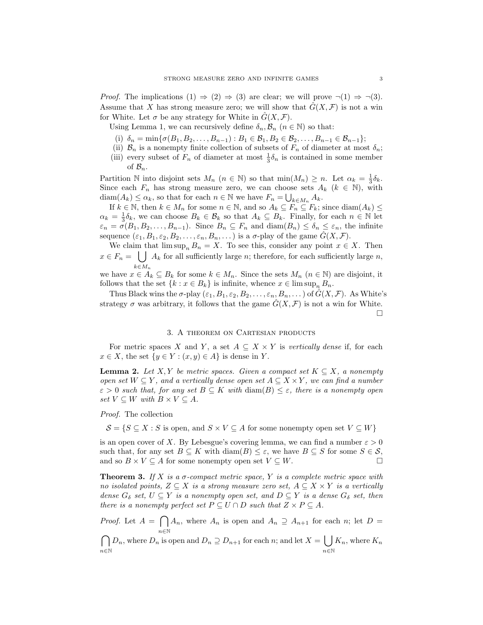*Proof.* The implications  $(1) \Rightarrow (2) \Rightarrow (3)$  are clear; we will prove  $\neg(1) \Rightarrow \neg(3)$ . Assume that X has strong measure zero; we will show that  $\tilde{G}(X,\mathcal{F})$  is not a win for White. Let  $\sigma$  be any strategy for White in  $\hat{G}(X,\mathcal{F})$ .

Using Lemma 1, we can recursively define  $\delta_n, \mathcal{B}_n$   $(n \in \mathbb{N})$  so that:

- (i)  $\delta_n = \min\{\sigma(B_1, B_2, \ldots, B_{n-1}) : B_1 \in \mathcal{B}_1, B_2 \in \mathcal{B}_2, \ldots, B_{n-1} \in \mathcal{B}_{n-1}\};$
- (ii)  $\mathcal{B}_n$  is a nonempty finite collection of subsets of  $F_n$  of diameter at most  $\delta_n$ ;
- (iii) every subset of  $F_n$  of diameter at most  $\frac{1}{3}\delta_n$  is contained in some member of  $\mathcal{B}_n$ .

Partition N into disjoint sets  $M_n$   $(n \in \mathbb{N})$  so that  $\min(M_n) \geq n$ . Let  $\alpha_k = \frac{1}{3}\delta_k$ . Since each  $F_n$  has strong measure zero, we can choose sets  $A_k$  ( $k \in \mathbb{N}$ ), with  $\text{diam}(A_k) \leq \alpha_k$ , so that for each  $n \in \mathbb{N}$  we have  $F_n = \bigcup_{k \in M_n} A_k$ .

If  $k \in \mathbb{N}$ , then  $k \in M_n$  for some  $n \in \mathbb{N}$ , and so  $A_k \subseteq F_n \subseteq F_k$ ; since  $\text{diam}(A_k) \leq$  $\alpha_k = \frac{1}{3}\delta_k$ , we can choose  $B_k \in \mathcal{B}_k$  so that  $A_k \subseteq B_k$ . Finally, for each  $n \in \mathbb{N}$  let  $\varepsilon_n = \sigma(B_1, B_2, \ldots, B_{n-1}).$  Since  $B_n \subseteq F_n$  and  $\text{diam}(B_n) \leq \delta_n \leq \varepsilon_n$ , the infinite sequence  $(\varepsilon_1, B_1, \varepsilon_2, B_2, \ldots, \varepsilon_n, B_n, \ldots)$  is a  $\sigma$ -play of the game  $\hat{G}(X, \mathcal{F})$ .

We claim that  $\limsup_n B_n = X$ . To see this, consider any point  $x \in X$ . Then  $x \in F_n = \bigcup A_k$  for all sufficiently large n; therefore, for each sufficiently large n,  $k \in M_n$ 

we have  $x \in A_k \subseteq B_k$  for some  $k \in M_n$ . Since the sets  $M_n$   $(n \in \mathbb{N})$  are disjoint, it follows that the set  $\{k : x \in B_k\}$  is infinite, whence  $x \in \limsup_n B_n$ .

Thus Black wins the  $\sigma$ -play  $(\varepsilon_1, B_1, \varepsilon_2, B_2, \ldots, \varepsilon_n, B_n, \ldots)$  of  $\tilde{G}(X, \mathcal{F})$ . As White's strategy  $\sigma$  was arbitrary, it follows that the game  $\hat{G}(X,\mathcal{F})$  is not a win for White.  $\Box$ 

## 3. A theorem on Cartesian products

For metric spaces X and Y, a set  $A \subseteq X \times Y$  is vertically dense if, for each  $x \in X$ , the set  $\{y \in Y : (x, y) \in A\}$  is dense in Y.

**Lemma 2.** Let X, Y be metric spaces. Given a compact set  $K \subseteq X$ , a nonempty open set  $W \subseteq Y$ , and a vertically dense open set  $A \subseteq X \times Y$ , we can find a number  $\varepsilon > 0$  such that, for any set  $B \subseteq K$  with  $\text{diam}(B) \leq \varepsilon$ , there is a nonempty open set  $V \subseteq W$  with  $B \times V \subseteq A$ .

### Proof. The collection

 $\mathcal{S} = \{S \subseteq X : S \text{ is open, and } S \times V \subseteq A \text{ for some nonempty open set } V \subseteq W\}$ 

is an open cover of X. By Lebesgue's covering lemma, we can find a number  $\varepsilon > 0$ such that, for any set  $B \subseteq K$  with  $\text{diam}(B) \leq \varepsilon$ , we have  $B \subseteq S$  for some  $S \in \mathcal{S}$ , and so  $B \times V \subseteq A$  for some nonempty open set  $V \subseteq W$ .

**Theorem 3.** If X is a  $\sigma$ -compact metric space, Y is a complete metric space with no isolated points,  $Z \subseteq X$  is a strong measure zero set,  $A \subseteq X \times Y$  is a vertically dense  $G_{\delta}$  set,  $U \subseteq Y$  is a nonempty open set, and  $D \subseteq Y$  is a dense  $G_{\delta}$  set, then there is a nonempty perfect set  $P \subseteq U \cap D$  such that  $Z \times P \subseteq A$ .

*Proof.* Let  $A = \bigcap A_n$ , where  $A_n$  is open and  $A_n \supseteq A_{n+1}$  for each n; let  $D =$ n∈N

 $\cap$ n∈N  $D_n$ , where  $D_n$  is open and  $D_n \supseteq D_{n+1}$  for each n; and let  $X = \begin{bmatrix} 1 \end{bmatrix}$ n∈N  $K_n$ , where  $K_n$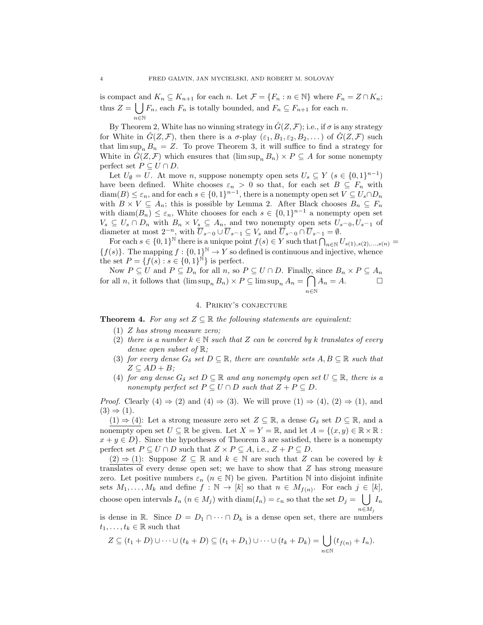is compact and  $K_n \subseteq K_{n+1}$  for each n. Let  $\mathcal{F} = \{F_n : n \in \mathbb{N}\}\$  where  $F_n = Z \cap K_n$ ; thus  $Z = \bigcup F_n$ , each  $F_n$  is totally bounded, and  $F_n \subseteq F_{n+1}$  for each n.  $n\!\in\!\mathbb{N}$ 

By Theorem 2, White has no winning strategy in  $\hat{G}(Z, \mathcal{F})$ ; i.e., if  $\sigma$  is any strategy for White in  $G(Z, \mathcal{F})$ , then there is a  $\sigma$ -play  $(\varepsilon_1, B_1, \varepsilon_2, B_2, \dots)$  of  $G(Z, \mathcal{F})$  such that  $\limsup_n B_n = Z$ . To prove Theorem 3, it will suffice to find a strategy for White in  $\hat{G}(Z, \mathcal{F})$  which ensures that  $(\limsup_n B_n) \times P \subseteq A$  for some nonempty perfect set  $P \subseteq U \cap D$ .

Let  $U_{\emptyset} = U$ . At move *n*, suppose nonempty open sets  $U_s \subseteq Y$  ( $s \in \{0,1\}^{n-1}$ ) have been defined. White chooses  $\varepsilon_n > 0$  so that, for each set  $B \subseteq F_n$  with  $\text{diam}(B) \leq \varepsilon_n$ , and for each  $s \in \{0,1\}^{n-1}$ , there is a nonempty open set  $V \subseteq U_s \cap D_n$ with  $B \times V \subseteq A_n$ ; this is possible by Lemma 2. After Black chooses  $B_n \subseteq F_n$ with  $\text{diam}(B_n) \leq \varepsilon_n$ , White chooses for each  $s \in \{0,1\}^{n-1}$  a nonempty open set  $V_s \subseteq U_s \cap D_n$  with  $B_n \times V_s \subseteq A_n$ , and two nonempty open sets  $U_s \cap U_s \cap I$  of diameter at most  $2^{-n}$ , with  $\overline{U}_{s_0} \cup \overline{U}_{s_1} \subseteq V_s$  and  $\overline{U}_{s_0} \cap \overline{U}_{s_1} = \emptyset$ .

For each  $s \in \{0,1\}^{\mathbb{N}}$  there is a unique point  $f(s) \in Y$  such that  $\bigcap_{n \in \mathbb{N}} U_{s(1),s(2),...,s(n)} =$  ${f(s)}$ . The mapping  $f: {0,1}^{\mathbb{N}} \to Y$  so defined is continuous and injective, whence the set  $P = \{f(s) : s \in \{0,1\}^N\}$  is perfect.

Now  $P \subseteq U$  and  $P \subseteq D_n$  for all  $n$ , so  $P \subseteq U \cap D$ . Finally, since  $B_n \times P \subseteq A_n$ for all n, it follows that  $(\limsup_n B_n) \times P \subseteq \limsup_n A_n = \bigcap$ n∈N  $A_n = A.$ 

### 4. Prikry's conjecture

**Theorem 4.** For any set  $Z \subseteq \mathbb{R}$  the following statements are equivalent:

- (1) Z has strong measure zero;
- (2) there is a number  $k \in \mathbb{N}$  such that Z can be covered by k translates of every dense open subset of R;
- (3) for every dense  $G_{\delta}$  set  $D \subseteq \mathbb{R}$ , there are countable sets  $A, B \subseteq \mathbb{R}$  such that  $Z \subseteq AD + B$ ;
- (4) for any dense  $G_{\delta}$  set  $D \subseteq \mathbb{R}$  and any nonempty open set  $U \subseteq \mathbb{R}$ , there is a nonempty perfect set  $P \subseteq U \cap D$  such that  $Z + P \subseteq D$ .

*Proof.* Clearly  $(4) \Rightarrow (2)$  and  $(4) \Rightarrow (3)$ . We will prove  $(1) \Rightarrow (4)$ ,  $(2) \Rightarrow (1)$ , and  $(3) \Rightarrow (1).$ 

 $(1) \Rightarrow (4)$ : Let a strong measure zero set  $Z \subseteq \mathbb{R}$ , a dense  $G_{\delta}$  set  $D \subseteq \mathbb{R}$ , and a nonempty open set  $U \subseteq \mathbb{R}$  be given. Let  $X = Y = \mathbb{R}$ , and let  $A = \{(x, y) \in \mathbb{R} \times \mathbb{R} :$  $x + y \in D$ . Since the hypotheses of Theorem 3 are satisfied, there is a nonempty perfect set  $P \subseteq U \cap D$  such that  $Z \times P \subseteq A$ , i.e.,  $Z + P \subseteq D$ .

 $(2) \Rightarrow (1)$ : Suppose  $Z \subseteq \mathbb{R}$  and  $k \in \mathbb{N}$  are such that Z can be covered by k translates of every dense open set; we have to show that Z has strong measure zero. Let positive numbers  $\varepsilon_n$   $(n \in \mathbb{N})$  be given. Partition N into disjoint infinite sets  $M_1, \ldots, M_k$  and define  $f : \mathbb{N} \to [k]$  so that  $n \in M_{f(n)}$ . For each  $j \in [k]$ , choose open intervals  $I_n$   $(n \in M_j)$  with  $\text{diam}(I_n) = \varepsilon_n$  so that the set  $D_j = \bigcup I_n$  $n \in M_i$ 

is dense in R. Since  $D = D_1 \cap \cdots \cap D_k$  is a dense open set, there are numbers  $t_1, \ldots, t_k \in \mathbb{R}$  such that

$$
Z \subseteq (t_1 + D) \cup \cdots \cup (t_k + D) \subseteq (t_1 + D_1) \cup \cdots \cup (t_k + D_k) = \bigcup_{n \in \mathbb{N}} (t_{f(n)} + I_n).
$$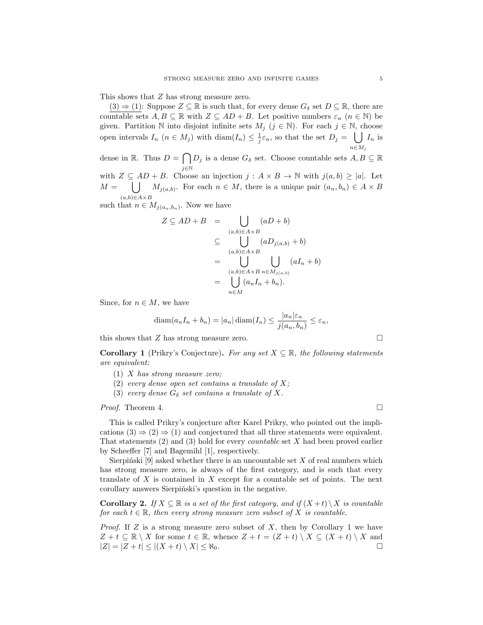This shows that Z has strong measure zero.

 $(3) \Rightarrow (1)$ : Suppose  $Z \subseteq \mathbb{R}$  is such that, for every dense  $G_{\delta}$  set  $D \subseteq \mathbb{R}$ , there are countable sets  $A, B \subseteq \mathbb{R}$  with  $Z \subseteq AD + B$ . Let positive numbers  $\varepsilon_n$   $(n \in \mathbb{N})$  be given. Partition N into disjoint infinite sets  $M_j$  ( $j \in \mathbb{N}$ ). For each  $j \in \mathbb{N}$ , choose open intervals  $I_n$   $(n \in M_j)$  with  $\text{diam}(I_n) \leq \frac{1}{j} \varepsilon_n$ , so that the set  $D_j = \bigcup I_n$  is  $n \in M_j$ 

dense in R. Thus  $D = \bigcap$ j∈N  $D_j$  is a dense  $G_\delta$  set. Choose countable sets  $A, B \subseteq \mathbb{R}$ with  $Z \subseteq AD + B$ . Choose an injection  $j : A \times B \to \mathbb{N}$  with  $j(a, b) \ge |a|$ . Let  $M = \bigcup M_{j(a,b)}$ . For each  $n \in M$ , there is a unique pair  $(a_n, b_n) \in A \times B$  $(a,b) \in A \times B$ 

such that  $n \in M_{j(a_n,b_n)}$ . Now we have

$$
Z \subseteq AD + B = \bigcup_{(a,b)\in A\times B} (aD + b)
$$
  
\n
$$
\subseteq \bigcup_{(a,b)\in A\times B} (aD_{j(a,b)} + b)
$$
  
\n
$$
= \bigcup_{(a,b)\in A\times B} \bigcup_{n\in M} (aI_n + b)
$$
  
\n
$$
= \bigcup_{n\in M} (a_nI_n + b_n).
$$

Since, for  $n \in M$ , we have

$$
diam(a_n I_n + b_n) = |a_n| dim(I_n) \le \frac{|a_n|\varepsilon_n}{j(a_n, b_n)} \le \varepsilon_n,
$$

this shows that Z has strong measure zero.  $\square$ 

**Corollary 1** (Prikry's Conjecture). For any set  $X \subseteq \mathbb{R}$ , the following statements are equivalent:

- (1)  $X$  has strong measure zero;
- (2) every dense open set contains a translate of  $X$ ;
- (3) every dense  $G_{\delta}$  set contains a translate of X.

# *Proof.* Theorem 4.

This is called Prikry's conjecture after Karel Prikry, who pointed out the implications  $(3) \Rightarrow (2) \Rightarrow (1)$  and conjectured that all three statements were equivalent. That statements  $(2)$  and  $(3)$  hold for every *countable* set X had been proved earlier by Scheeffer [7] and Bagemihl [1], respectively.

Sierpiński [9] asked whether there is an uncountable set  $X$  of real numbers which has strong measure zero, is always of the first category, and is such that every translate of  $X$  is contained in  $X$  except for a countable set of points. The next corollary answers Sierpinski's question in the negative.

**Corollary 2.** If  $X \subseteq \mathbb{R}$  is a set of the first category, and if  $(X + t) \setminus X$  is countable for each  $t \in \mathbb{R}$ , then every strong measure zero subset of X is countable.

*Proof.* If Z is a strong measure zero subset of X, then by Corollary 1 we have  $Z + t \subseteq \mathbb{R} \setminus X$  for some  $t \in \mathbb{R}$ , whence  $Z + t = (Z + t) \setminus X \subseteq (X + t) \setminus X$  and  $|Z| = |Z + t| \le |(X + t) \setminus X| \le \aleph_0.$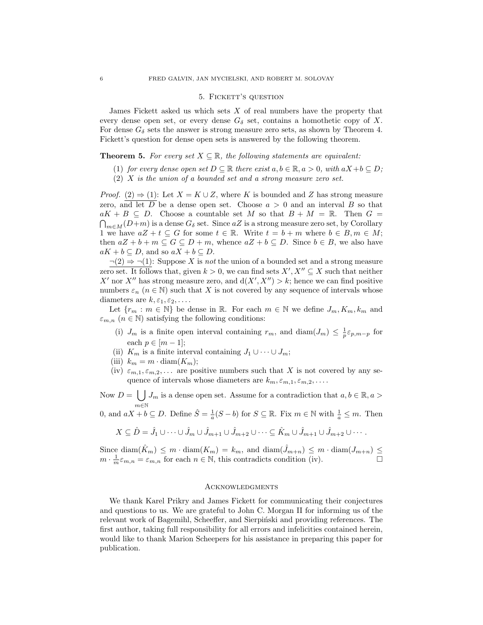### 5. FICKETT'S QUESTION

James Fickett asked us which sets  $X$  of real numbers have the property that every dense open set, or every dense  $G_{\delta}$  set, contains a homothetic copy of X. For dense  $G_{\delta}$  sets the answer is strong measure zero sets, as shown by Theorem 4. Fickett's question for dense open sets is answered by the following theorem.

## **Theorem 5.** For every set  $X \subseteq \mathbb{R}$ , the following statements are equivalent:

- (1) for every dense open set  $D \subseteq \mathbb{R}$  there exist  $a, b \in \mathbb{R}, a > 0$ , with  $aX + b \subseteq D$ ;
- (2) X is the union of a bounded set and a strong measure zero set.

*Proof.* (2)  $\Rightarrow$  (1): Let  $X = K \cup Z$ , where K is bounded and Z has strong measure zero, and let  $\overline{D}$  be a dense open set. Choose  $a > 0$  and an interval  $B$  so that  $aK + B \subseteq D$ . Choose a countable set M so that  $B + M = \mathbb{R}$ . Then  $G =$  $\bigcap_{m\in M}(D+m)$  is a dense  $G_{\delta}$  set. Since  $aZ$  is a strong measure zero set, by Corollary 1 we have  $aZ + t \subseteq G$  for some  $t \in \mathbb{R}$ . Write  $t = b + m$  where  $b \in B, m \in M$ ; then  $aZ + b + m \subseteq G \subseteq D + m$ , whence  $aZ + b \subseteq D$ . Since  $b \in B$ , we also have  $aK + b \subseteq D$ , and so  $aX + b \subseteq D$ .

 $\neg(2) \Rightarrow \neg(1)$ : Suppose X is *not* the union of a bounded set and a strong measure zero set. It follows that, given  $k > 0$ , we can find sets  $X', X'' \subseteq X$  such that neither X' nor X'' has strong measure zero, and  $d(X', X'') > k$ ; hence we can find positive numbers  $\varepsilon_n$   $(n \in \mathbb{N})$  such that X is not covered by any sequence of intervals whose diameters are  $k, \varepsilon_1, \varepsilon_2, \ldots$ .

Let  ${r_m : m \in \mathbb{N}}$  be dense in R. For each  $m \in \mathbb{N}$  we define  $J_m, K_m, k_m$  and  $\varepsilon_{m,n}$   $(n \in \mathbb{N})$  satisfying the following conditions:

- (i)  $J_m$  is a finite open interval containing  $r_m$ , and  $\text{diam}(J_m) \leq \frac{1}{p} \varepsilon_{p,m-p}$  for each  $p \in [m-1]$ ;
- (ii)  $K_m$  is a finite interval containing  $J_1 \cup \cdots \cup J_m$ ;
- (iii)  $k_m = m \cdot \text{diam}(K_m);$
- (iv)  $\varepsilon_{m,1}, \varepsilon_{m,2}, \ldots$  are positive numbers such that X is not covered by any sequence of intervals whose diameters are  $k_m, \varepsilon_{m,1}, \varepsilon_{m,2}, \ldots$ .

Now  $D = \bigcup J_m$  is a dense open set. Assume for a contradiction that  $a, b \in \mathbb{R}, a >$ m∈N

0, and  $aX + b \subseteq D$ . Define  $\hat{S} = \frac{1}{a}(S - b)$  for  $S \subseteq \mathbb{R}$ . Fix  $m \in \mathbb{N}$  with  $\frac{1}{a} \leq m$ . Then

$$
X \subseteq \hat{D} = \hat{J}_1 \cup \cdots \cup \hat{J}_m \cup \hat{J}_{m+1} \cup \hat{J}_{m+2} \cup \cdots \subseteq \hat{K}_m \cup \hat{J}_{m+1} \cup \hat{J}_{m+2} \cup \cdots
$$

Since  $\text{diam}(\hat{K}_m) \leq m \cdot \text{diam}(K_m) = k_m$ , and  $\text{diam}(\hat{J}_{m+n}) \leq m \cdot \text{diam}(J_{m+n}) \leq$  $m \cdot \frac{1}{m} \varepsilon_{m,n} = \varepsilon_{m,n}$  for each  $n \in \mathbb{N}$ , this contradicts condition (iv).

#### **ACKNOWLEDGMENTS**

We thank Karel Prikry and James Fickett for communicating their conjectures and questions to us. We are grateful to John C. Morgan II for informing us of the relevant work of Bagemihl, Scheeffer, and Sierpiński and providing references. The first author, taking full responsibility for all errors and infelicities contained herein, would like to thank Marion Scheepers for his assistance in preparing this paper for publication.